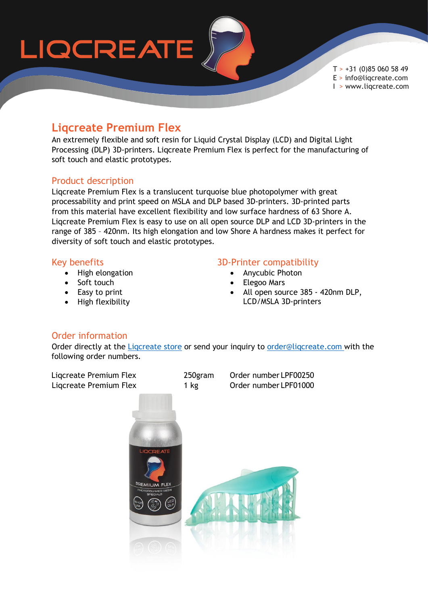

 $T > +31$  (0)85 060 58 49 E > info@liqcreate.com I > www.liqcreate.com

## **Liqcreate Premium Flex**

An extremely flexible and soft resin for Liquid Crystal Display (LCD) and Digital Light Processing (DLP) 3D-printers. Liqcreate Premium Flex is perfect for the manufacturing of soft touch and elastic prototypes.

#### Product description

Liqcreate Premium Flex is a translucent turquoise blue photopolymer with great processability and print speed on MSLA and DLP based 3D-printers. 3D-printed parts from this material have excellent flexibility and low surface hardness of 63 Shore A. Liqcreate Premium Flex is easy to use on all open source DLP and LCD 3D-printers in the range of 385 – 420nm. Its high elongation and low Shore A hardness makes it perfect for diversity of soft touch and elastic prototypes.

#### Key benefits

- High elongation
- Soft touch
- Easy to print
- High flexibility

#### 3D-Printer compatibility

- Anycubic Photon
- Elegoo Mars
- All open source 385 420nm DLP, LCD/MSLA 3D-printers

### Order information

Order directly at the Ligcreate store or send your inquiry to order@ligcreate.com with the following order numbers.

Liqcreate Premium Flex 250gram Order number LPF00250 Ligcreate Premium Flex 1 kg Order number LPF01000